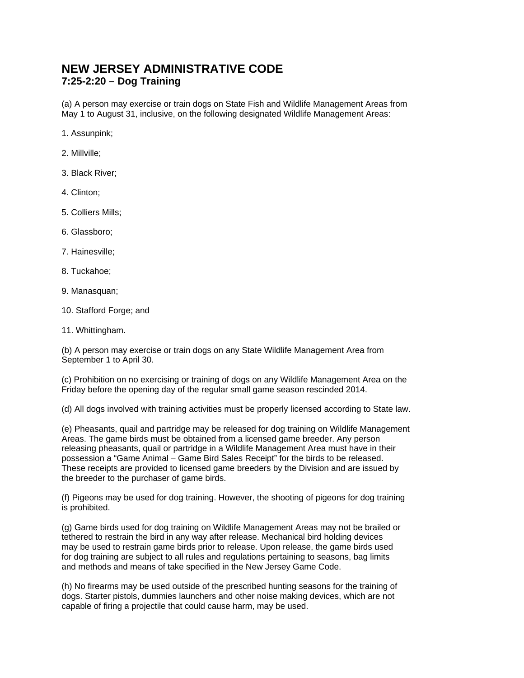## **NEW JERSEY ADMINISTRATIVE CODE 7:25-2:20 – Dog Training**

(a) A person may exercise or train dogs on State Fish and Wildlife Management Areas from May 1 to August 31, inclusive, on the following designated Wildlife Management Areas:

1. Assunpink;

- 2. Millville;
- 3. Black River;
- 4. Clinton;
- 5. Colliers Mills;
- 6. Glassboro;
- 7. Hainesville;
- 8. Tuckahoe;
- 9. Manasquan;
- 10. Stafford Forge; and
- 11. Whittingham.

(b) A person may exercise or train dogs on any State Wildlife Management Area from September 1 to April 30.

(c) Prohibition on no exercising or training of dogs on any Wildlife Management Area on the Friday before the opening day of the regular small game season rescinded 2014.

(d) All dogs involved with training activities must be properly licensed according to State law.

(e) Pheasants, quail and partridge may be released for dog training on Wildlife Management Areas. The game birds must be obtained from a licensed game breeder. Any person releasing pheasants, quail or partridge in a Wildlife Management Area must have in their possession a "Game Animal – Game Bird Sales Receipt" for the birds to be released. These receipts are provided to licensed game breeders by the Division and are issued by the breeder to the purchaser of game birds.

(f) Pigeons may be used for dog training. However, the shooting of pigeons for dog training is prohibited.

(g) Game birds used for dog training on Wildlife Management Areas may not be brailed or tethered to restrain the bird in any way after release. Mechanical bird holding devices may be used to restrain game birds prior to release. Upon release, the game birds used for dog training are subject to all rules and regulations pertaining to seasons, bag limits and methods and means of take specified in the New Jersey Game Code.

(h) No firearms may be used outside of the prescribed hunting seasons for the training of dogs. Starter pistols, dummies launchers and other noise making devices, which are not capable of firing a projectile that could cause harm, may be used.